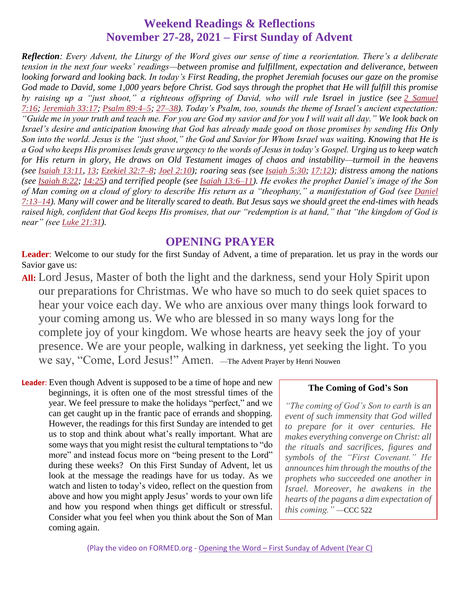### **Weekend Readings & Reflections November 27-28, 2021 – First Sunday of Advent**

*Reflection: Every Advent, the Liturgy of the Word gives our sense of time a reorientation. There's a deliberate tension in the next four weeks' readings—between promise and fulfillment, expectation and deliverance, between looking forward and looking back. In today's First Reading, the prophet Jeremiah focuses our gaze on the promise God made to David, some 1,000 years before Christ. God says through the prophet that He will fulfill this promise by raising up a "just shoot," a righteous offspring of David, who will rule Israel in justice (see 2 [Samuel](https://biblia.com/bible/rsvce/2%20Sam%207.16) [7:16](https://biblia.com/bible/rsvce/2%20Sam%207.16); [Jeremiah](https://biblia.com/bible/rsvce/Jer%2033.17) 33:17; Psalm [89:4–5](https://biblia.com/bible/rsvce/Ps%2089.4%E2%80%935); [27–38](https://biblia.com/bible/rsvce/Psalm%2089.27%E2%80%9338)). Today's Psalm, too, sounds the theme of Israel's ancient expectation: "Guide me in your truth and teach me. For you are God my savior and for you I will wait all day." We look back on Israel's desire and anticipation knowing that God has already made good on those promises by sending His Only Son into the world. Jesus is the "just shoot," the God and Savior for Whom Israel was waiting. Knowing that He is a God who keeps His promises lends grave urgency to the words of Jesus in today's Gospel. Urging us to keep watch for His return in glory, He draws on Old Testament images of chaos and instability—turmoil in the heavens*  (see [Isaiah](https://biblia.com/bible/rsvce/Isa%205.30) [13](https://biblia.com/bible/rsvce/Isaiah%2013.13):11, 13; [Ezekiel](https://biblia.com/bible/rsvce/Ezek%2032.7%E2%80%938) 32:7-8; Joel [2:10](https://biblia.com/bible/rsvce/Joel%202.10)); roaring seas (see Isaiah 5:30; [17:12](https://biblia.com/bible/rsvce/Isaiah%2017.12)); distress among the nations *(see [Isaiah](https://biblia.com/bible/rsvce/Isa%208.22) 8:22; [14:25](https://biblia.com/bible/rsvce/Isaiah%2014.25)) and terrified people (see Isaiah [13:6–11](https://biblia.com/bible/rsvce/Isa%2013.6%E2%80%9311)). He evokes the prophet Daniel's image of the Son of Man coming on a cloud of glory to describe His return as a "theophany," a manifestation of God (see [Daniel](https://biblia.com/bible/rsvce/Dan%207.13%E2%80%9314) [7:13–14](https://biblia.com/bible/rsvce/Dan%207.13%E2%80%9314)). Many will cower and be literally scared to death. But Jesus says we should greet the end-times with heads raised high, confident that God keeps His promises, that our "redemption is at hand," that "the kingdom of God is near" (see Luke [21:31](https://biblia.com/bible/rsvce/Luke%2021.31)).*

### **OPENING PRAYER**

**Leader**: Welcome to our study for the first Sunday of Advent, a time of preparation. let us pray in the words our Savior gave us:

**All:** Lord Jesus, Master of both the light and the darkness, send your Holy Spirit upon our preparations for Christmas. We who have so much to do seek quiet spaces to hear your voice each day. We who are anxious over many things look forward to your coming among us. We who are blessed in so many ways long for the complete joy of your kingdom. We whose hearts are heavy seek the joy of your presence. We are your people, walking in darkness, yet seeking the light. To you we say, "Come, Lord Jesus!" Amen. —The Advent Prayer by Henri Nouwen

**Leader**: Even though Advent is supposed to be a time of hope and new beginnings, it is often one of the most stressful times of the year. We feel pressure to make the holidays "perfect," and we can get caught up in the frantic pace of errands and shopping. However, the readings for this first Sunday are intended to get us to stop and think about what's really important. What are some ways that you might resist the cultural temptations to "do more" and instead focus more on "being present to the Lord" during these weeks? On this First Sunday of Advent, let us look at the message the readings have for us today. As we watch and listen to today's video, reflect on the question from above and how you might apply Jesus' words to your own life and how you respond when things get difficult or stressful. Consider what you feel when you think about the Son of Man coming again.

#### **The Coming of God's Son**

*"The coming of God's Son to earth is an event of such immensity that God willed to prepare for it over centuries. He makes everything converge on Christ: all the rituals and sacrifices, figures and symbols of the "First Covenant." He announces him through the mouths of the prophets who succeeded one another in Israel. Moreover, he awakens in the hearts of the pagans a dim expectation of this coming."* —CCC 522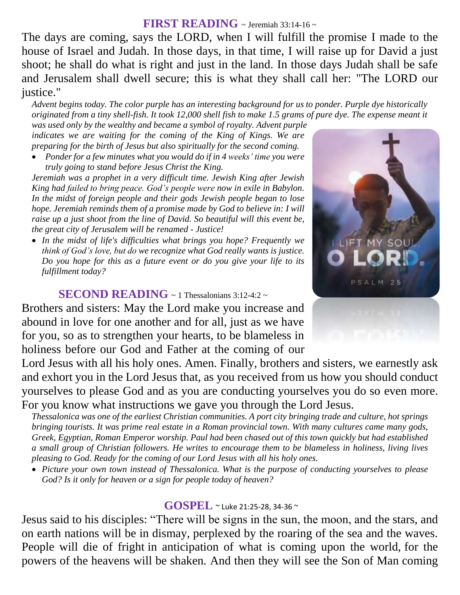### **FIRST READING** ~ Jeremiah 33:14-16 ~

The days are coming, says the LORD, when I will fulfill the promise I made to the house of Israel and Judah. In those days, in that time, I will raise up for David a just shoot; he shall do what is right and just in the land. In those days Judah shall be safe and Jerusalem shall dwell secure; this is what they shall call her: "The LORD our justice."

*Advent begins today. The color purple has an interesting background for us to ponder. Purple dye historically originated from a tiny shell-fish. It took 12,000 shell fish to make 1.5 grams of pure dye. The expense meant it* 

*was used only by the wealthy and became a symbol of royalty. Advent purple indicates we are waiting for the coming of the King of Kings. We are preparing for the birth of Jesus but also spiritually for the second coming.*

 *Ponder for a few minutes what you would do if in 4 weeks' time you were truly going to stand before Jesus Christ the King.*

*Jeremiah was a prophet in a very difficult time. Jewish King after Jewish King had failed to bring peace. God's people were now in exile in Babylon. In the midst of foreign people and their gods Jewish people began to lose hope. Jeremiah reminds them of a promise made by God to believe in: I will raise up a just shoot from the line of David. So beautiful will this event be, the great city of Jerusalem will be renamed - Justice!* 

 *In the midst of life's difficulties what brings you hope? Frequently we think of God's love, but do we recognize what God really wants is justice. Do you hope for this as a future event or do you give your life to its fulfillment today?*

### **SECOND READING**  $\sim$  1 Thessalonians 3:12-4:2  $\sim$

Brothers and sisters: May the Lord make you increase and abound in love for one another and for all, just as we have for you, so as to strengthen your hearts, to be blameless in holiness before our God and Father at the coming of our

Lord Jesus with all his holy ones. Amen. Finally, brothers and sisters, we earnestly ask and exhort you in the Lord Jesus that, as you received from us how you should conduct yourselves to please God and as you are conducting yourselves you do so even more. For you know what instructions we gave you through the Lord Jesus.

*Thessalonica was one of the earliest Christian communities. A port city bringing trade and culture, hot springs bringing tourists. It was prime real estate in a Roman provincial town. With many cultures came many gods, Greek, Egyptian, Roman Emperor worship. Paul had been chased out of this town quickly but had established a small group of Christian followers. He writes to encourage them to be blameless in holiness, living lives pleasing to God. Ready for the coming of our Lord Jesus with all his holy ones.* 

 *Picture your own town instead of Thessalonica. What is the purpose of conducting yourselves to please God? Is it only for heaven or a sign for people today of heaven?*

#### **GOSPEL** ~ Luke 21:25-28, 34-36 <sup>~</sup>

Jesus said to his disciples: "There will be signs in the sun, the moon, and the stars, and on earth nations will be in dismay, perplexed by the roaring of the sea and the waves. People will die of fright in anticipation of what is coming upon the world, for the powers of the heavens will be shaken. And then they will see the Son of Man coming

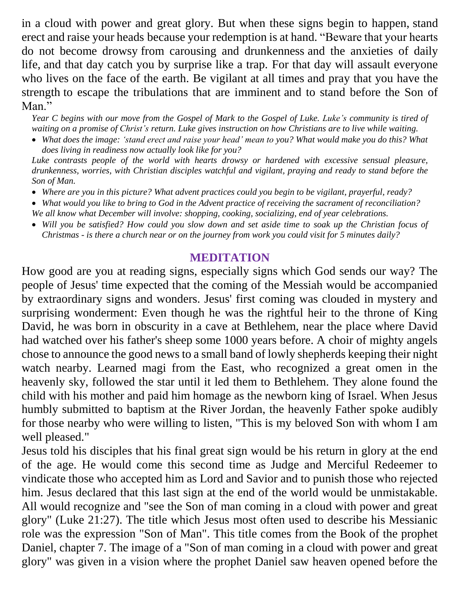in a cloud with power and great glory. But when these signs begin to happen, stand erect and raise your heads because your redemption is at hand. "Beware that your hearts do not become drowsy from carousing and drunkenness and the anxieties of daily life, and that day catch you by surprise like a trap. For that day will assault everyone who lives on the face of the earth. Be vigilant at all times and pray that you have the strength to escape the tribulations that are imminent and to stand before the Son of Man."

*Year C begins with our move from the Gospel of Mark to the Gospel of Luke. Luke's community is tired of waiting on a promise of Christ's return. Luke gives instruction on how Christians are to live while waiting.* 

 *What does the image: ʻstand erect and raise your head' mean to you? What would make you do this? What does living in readiness now actually look like for you?*

*Luke contrasts people of the world with hearts drowsy or hardened with excessive sensual pleasure, drunkenness, worries, with Christian disciples watchful and vigilant, praying and ready to stand before the Son of Man.* 

- *Where are you in this picture? What advent practices could you begin to be vigilant, prayerful, ready?*
- *What would you like to bring to God in the Advent practice of receiving the sacrament of reconciliation? We all know what December will involve: shopping, cooking, socializing, end of year celebrations.*
- *Will you be satisfied? How could you slow down and set aside time to soak up the Christian focus of Christmas - is there a church near or on the journey from work you could visit for 5 minutes daily?*

## **MEDITATION**

How good are you at reading signs, especially signs which God sends our way? The people of Jesus' time expected that the coming of the Messiah would be accompanied by extraordinary signs and wonders. Jesus' first coming was clouded in mystery and surprising wonderment: Even though he was the rightful heir to the throne of King David, he was born in obscurity in a cave at Bethlehem, near the place where David had watched over his father's sheep some 1000 years before. A choir of mighty angels chose to announce the good news to a small band of lowly shepherds keeping their night watch nearby. Learned magi from the East, who recognized a great omen in the heavenly sky, followed the star until it led them to Bethlehem. They alone found the child with his mother and paid him homage as the newborn king of Israel. When Jesus humbly submitted to baptism at the River Jordan, the heavenly Father spoke audibly for those nearby who were willing to listen, "This is my beloved Son with whom I am well pleased."

Jesus told his disciples that his final great sign would be his return in glory at the end of the age. He would come this second time as Judge and Merciful Redeemer to vindicate those who accepted him as Lord and Savior and to punish those who rejected him. Jesus declared that this last sign at the end of the world would be unmistakable. All would recognize and "see the Son of man coming in a cloud with power and great glory" (Luke 21:27). The title which Jesus most often used to describe his Messianic role was the expression "Son of Man". This title comes from the Book of the prophet Daniel, chapter 7. The image of a "Son of man coming in a cloud with power and great glory" was given in a vision where the prophet Daniel saw heaven opened before the